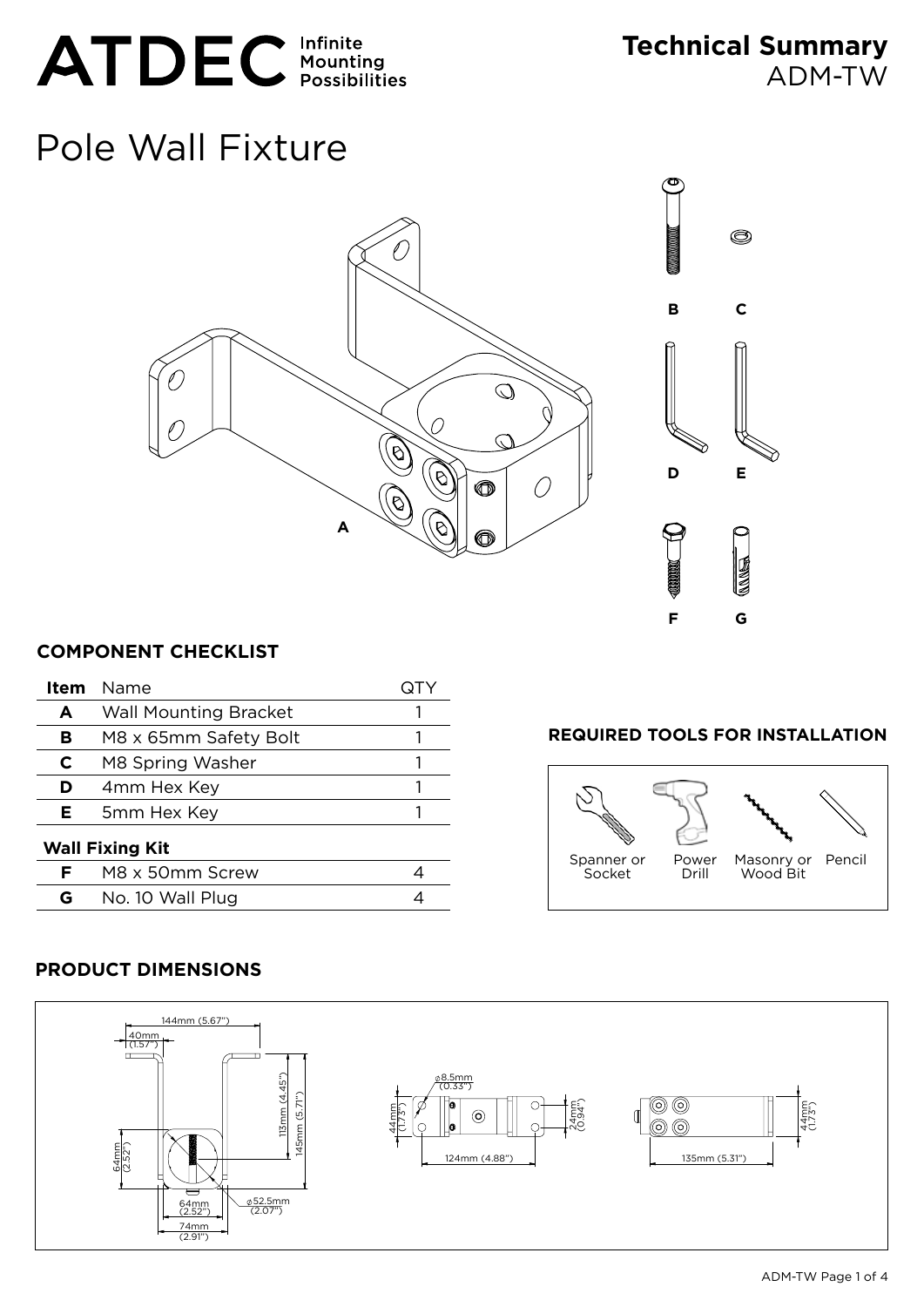# ATDEC Infinite

**Technical Summary** ADM-TW

# Pole Wall Fixture





# **COMPONENT CHECKLIST**

| Item                   | Name                         |  |
|------------------------|------------------------------|--|
| A                      | <b>Wall Mounting Bracket</b> |  |
| в                      | M8 x 65mm Safety Bolt        |  |
| C                      | M8 Spring Washer             |  |
| D                      | 4mm Hex Key                  |  |
| Е                      | 5mm Hex Key                  |  |
| <b>Wall Fixing Kit</b> |                              |  |
| F                      | M8 x 50mm Screw              |  |
| G                      | No. 10 Wall Plug             |  |

### **Required Tools for Installation**



# **PRODUCT DIMENSIONS**

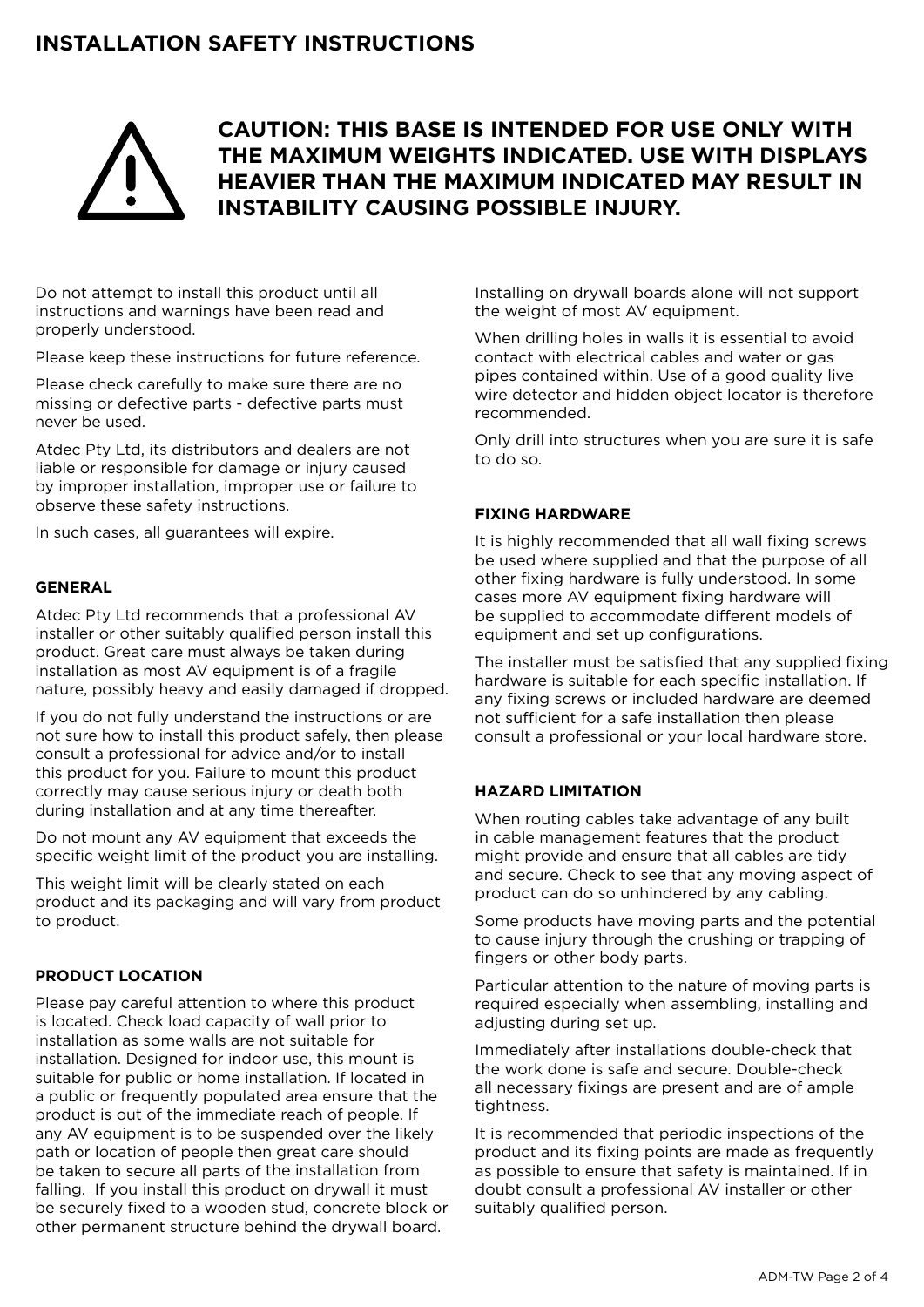# **Installation Safety Instructions**



# **CAUTION: This BASE is intended for use only with the maximum weights indicated. Use with displays heavier than the maximum indicated may result in instability causing possible injury.**

Do not attempt to install this product until all instructions and warnings have been read and properly understood.

Please keep these instructions for future reference.

Please check carefully to make sure there are no missing or defective parts - defective parts must never be used.

Atdec Pty Ltd, its distributors and dealers are not liable or responsible for damage or injury caused by improper installation, improper use or failure to observe these safety instructions.

In such cases, all guarantees will expire.

#### **General**

Atdec Pty Ltd recommends that a professional AV installer or other suitably qualified person install this product. Great care must always be taken during installation as most AV equipment is of a fragile nature, possibly heavy and easily damaged if dropped.

If you do not fully understand the instructions or are not sure how to install this product safely, then please consult a professional for advice and/or to install this product for you. Failure to mount this product correctly may cause serious injury or death both during installation and at any time thereafter.

Do not mount any AV equipment that exceeds the specific weight limit of the product you are installing.

This weight limit will be clearly stated on each product and its packaging and will vary from product to product.

#### **Product Location**

Please pay careful attention to where this product is located. Check load capacity of wall prior to installation as some walls are not suitable for installation. Designed for indoor use, this mount is suitable for public or home installation. If located in a public or frequently populated area ensure that the product is out of the immediate reach of people. If any AV equipment is to be suspended over the likely path or location of people then great care should be taken to secure all parts of the installation from falling. If you install this product on drywall it must be securely fixed to a wooden stud, concrete block or other permanent structure behind the drywall board.

Installing on drywall boards alone will not support the weight of most AV equipment.

When drilling holes in walls it is essential to avoid contact with electrical cables and water or gas pipes contained within. Use of a good quality live wire detector and hidden object locator is therefore recommended.

Only drill into structures when you are sure it is safe to do so.

#### **Fixing Hardware**

It is highly recommended that all wall fixing screws be used where supplied and that the purpose of all other fixing hardware is fully understood. In some cases more AV equipment fixing hardware will be supplied to accommodate different models of equipment and set up configurations.

The installer must be satisfied that any supplied fixing hardware is suitable for each specific installation. If any fixing screws or included hardware are deemed not sufficient for a safe installation then please consult a professional or your local hardware store.

#### **Hazard Limitation**

When routing cables take advantage of any built in cable management features that the product might provide and ensure that all cables are tidy and secure. Check to see that any moving aspect of product can do so unhindered by any cabling.

Some products have moving parts and the potential to cause injury through the crushing or trapping of fingers or other body parts.

Particular attention to the nature of moving parts is required especially when assembling, installing and adjusting during set up.

Immediately after installations double-check that the work done is safe and secure. Double-check all necessary fixings are present and are of ample tightness.

It is recommended that periodic inspections of the product and its fixing points are made as frequently as possible to ensure that safety is maintained. If in doubt consult a professional AV installer or other suitably qualified person.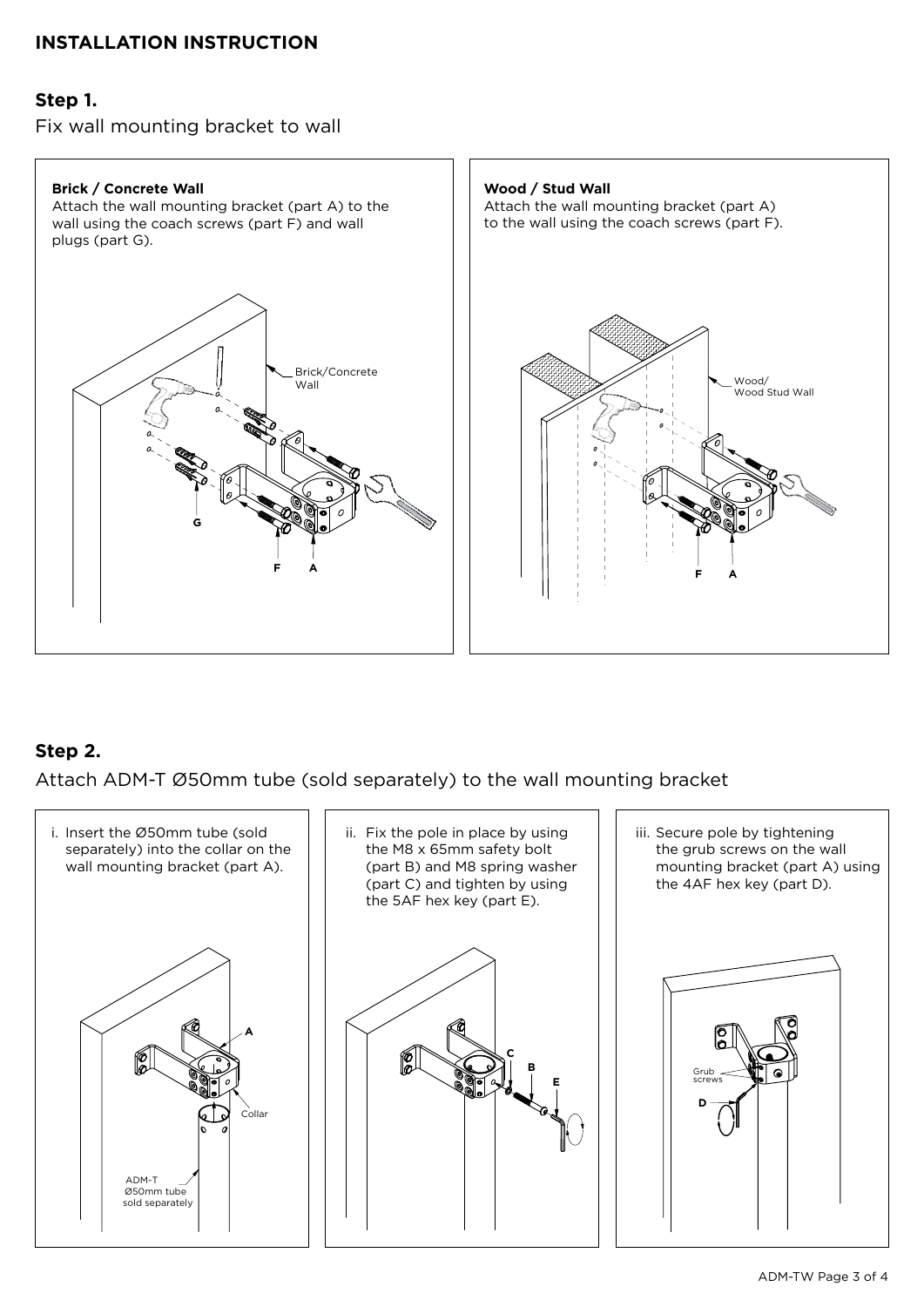# **INSTALLATION INSTRUCTION**

## **Step 1.**

Fix wall mounting bracket to wall



# **Step 2.**

Attach ADM-T Ø50mm tube (sold separately) to the wall mounting bracket